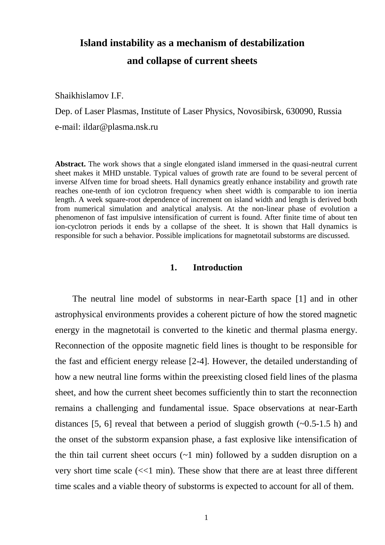# **Island instability as a mechanism of destabilization**

# **and collapse of current sheets**

Shaikhislamov I.F.

Dep. of Laser Plasmas, Institute of Laser Physics, Novosibirsk, 630090, Russia e-mail: ildar@plasma.nsk.ru

**Abstract.** The work shows that a single elongated island immersed in the quasi-neutral current sheet makes it MHD unstable. Typical values of growth rate are found to be several percent of inverse Alfven time for broad sheets. Hall dynamics greatly enhance instability and growth rate reaches one-tenth of ion cyclotron frequency when sheet width is comparable to ion inertia length. A week square-root dependence of increment on island width and length is derived both from numerical simulation and analytical analysis. At the non-linear phase of evolution a phenomenon of fast impulsive intensification of current is found. After finite time of about ten ion-cyclotron periods it ends by a collapse of the sheet. It is shown that Hall dynamics is responsible for such a behavior. Possible implications for magnetotail substorms are discussed.

# **1. Introduction**

The neutral line model of substorms in near-Earth space [1] and in other astrophysical environments provides a coherent picture of how the stored magnetic energy in the magnetotail is converted to the kinetic and thermal plasma energy. Reconnection of the opposite magnetic field lines is thought to be responsible for the fast and efficient energy release [2-4]. However, the detailed understanding of how a new neutral line forms within the preexisting closed field lines of the plasma sheet, and how the current sheet becomes sufficiently thin to start the reconnection remains a challenging and fundamental issue. Space observations at near-Earth distances [5, 6] reveal that between a period of sluggish growth  $(-0.5-1.5 \text{ h})$  and the onset of the substorm expansion phase, a fast explosive like intensification of the thin tail current sheet occurs  $(-1 \text{ min})$  followed by a sudden disruption on a very short time scale  $\ll$  min). These show that there are at least three different time scales and a viable theory of substorms is expected to account for all of them.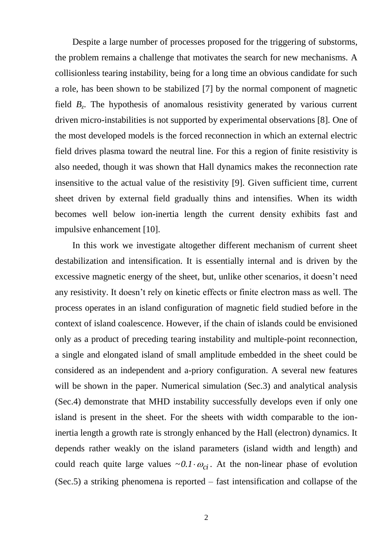Despite a large number of processes proposed for the triggering of substorms, the problem remains a challenge that motivates the search for new mechanisms. A collisionless tearing instability, being for a long time an obvious candidate for such a role, has been shown to be stabilized [7] by the normal component of magnetic field *B<sup>z</sup>* . The hypothesis of anomalous resistivity generated by various current driven micro-instabilities is not supported by experimental observations [8]. One of the most developed models is the forced reconnection in which an external electric field drives plasma toward the neutral line. For this a region of finite resistivity is also needed, though it was shown that Hall dynamics makes the reconnection rate insensitive to the actual value of the resistivity [9]. Given sufficient time, current sheet driven by external field gradually thins and intensifies. When its width becomes well below ion-inertia length the current density exhibits fast and impulsive enhancement [10].

In this work we investigate altogether different mechanism of current sheet destabilization and intensification. It is essentially internal and is driven by the excessive magnetic energy of the sheet, but, unlike other scenarios, it doesn't need any resistivity. It doesn't rely on kinetic effects or finite electron mass as well. The process operates in an island configuration of magnetic field studied before in the context of island coalescence. However, if the chain of islands could be envisioned only as a product of preceding tearing instability and multiple-point reconnection, a single and elongated island of small amplitude embedded in the sheet could be considered as an independent and a-priory configuration. A several new features will be shown in the paper. Numerical simulation (Sec.3) and analytical analysis (Sec.4) demonstrate that MHD instability successfully develops even if only one island is present in the sheet. For the sheets with width comparable to the ioninertia length a growth rate is strongly enhanced by the Hall (electron) dynamics. It depends rather weakly on the island parameters (island width and length) and could reach quite large values  $\sim 0.1 \cdot \omega_{ci}$ . At the non-linear phase of evolution (Sec.5) a striking phenomena is reported – fast intensification and collapse of the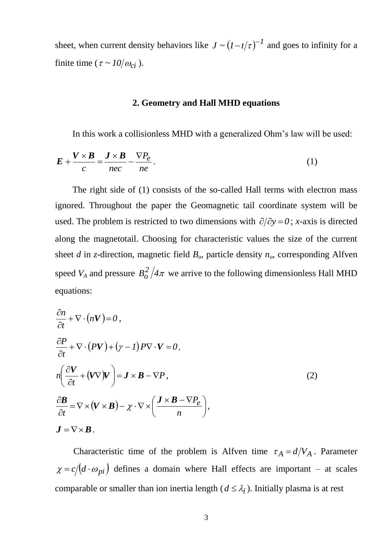sheet, when current density behaviors like  $J \sim (1-t/\tau)^{-1}$  and goes to infinity for a finite time ( $\tau \sim 10/\omega_{ci}$ ).

#### **2. Geometry and Hall MHD equations**

In this work a collisionless MHD with a generalized Ohm's law will be used:

$$
E + \frac{V \times B}{c} = \frac{J \times B}{nec} - \frac{\nabla P_e}{ne}.
$$
 (1)

The right side of (1) consists of the so-called Hall terms with electron mass ignored. Throughout the paper the Geomagnetic tail coordinate system will be used. The problem is restricted to two dimensions with  $\partial/\partial y = 0$ ; *x*-axis is directed along the magnetotail. Choosing for characteristic values the size of the current sheet *d* in *z*-direction, magnetic field *Bo*, particle density *no*, corresponding Alfven speed  $V_A$  and pressure  $B_o^2/4\pi$  $\frac{d}{d\sigma}/4\pi$  we arrive to the following dimensionless Hall MHD equations:

$$
\frac{\partial n}{\partial t} + \nabla \cdot (nV) = 0,
$$
\n
$$
\frac{\partial P}{\partial t} + \nabla \cdot (PV) + (\gamma - 1) P \nabla \cdot V = 0,
$$
\n
$$
n \left( \frac{\partial V}{\partial t} + (V \nabla) V \right) = \mathbf{J} \times \mathbf{B} - \nabla P,
$$
\n
$$
\frac{\partial \mathbf{B}}{\partial t} = \nabla \times (V \times \mathbf{B}) - \chi \cdot \nabla \times \left( \frac{\mathbf{J} \times \mathbf{B} - \nabla P_e}{n} \right),
$$
\n
$$
\mathbf{J} = \nabla \times \mathbf{B}.
$$
\n(2)

Characteristic time of the problem is Alfven time  $\tau_A = d/V_A$ . Parameter  $\chi = c/(d \cdot \omega_{pi})$  defines a domain where Hall effects are important – at scales comparable or smaller than ion inertia length ( $d \leq \lambda_i$ ). Initially plasma is at rest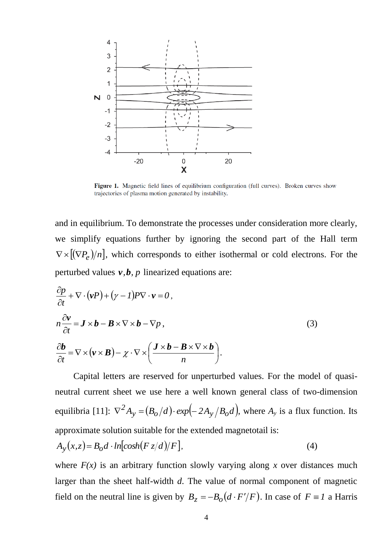

Figure 1. Magnetic field lines of equilibrium configuration (full curves). Broken curves show trajectories of plasma motion generated by instability.

and in equilibrium. To demonstrate the processes under consideration more clearly, we simplify equations further by ignoring the second part of the Hall term  $\nabla \times [(\nabla P_e)/n]$ , which corresponds to either isothermal or cold electrons. For the perturbed values *v,b, p* linearized equations are:

$$
\frac{\partial p}{\partial t} + \nabla \cdot (\mathbf{v}P) + (\gamma - 1)P \nabla \cdot \mathbf{v} = 0,
$$
\n
$$
n \frac{\partial \mathbf{v}}{\partial t} = \mathbf{J} \times \mathbf{b} - \mathbf{B} \times \nabla \times \mathbf{b} - \nabla p,
$$
\n
$$
\frac{\partial \mathbf{b}}{\partial t} = \nabla \times (\mathbf{v} \times \mathbf{B}) - \chi \cdot \nabla \times \left( \frac{\mathbf{J} \times \mathbf{b} - \mathbf{B} \times \nabla \times \mathbf{b}}{n} \right).
$$
\n(3)

Capital letters are reserved for unperturbed values. For the model of quasineutral current sheet we use here a well known general class of two-dimension equilibria [11]:  $\nabla^2 A_y = (B_o/d) \cdot exp(-2A_y/B_o d)$ , where  $A_y$  is a flux function. Its approximate solution suitable for the extended magnetotail is:  $A_y(x, z) = B_o d \cdot ln[cosh(Fz/d)/F],$  (4)

where  $F(x)$  is an arbitrary function slowly varying along x over distances much larger than the sheet half-width *d*. The value of normal component of magnetic field on the neutral line is given by  $B_z = -B_o(d \cdot F'/F)$ . In case of  $F \equiv I$  a Harris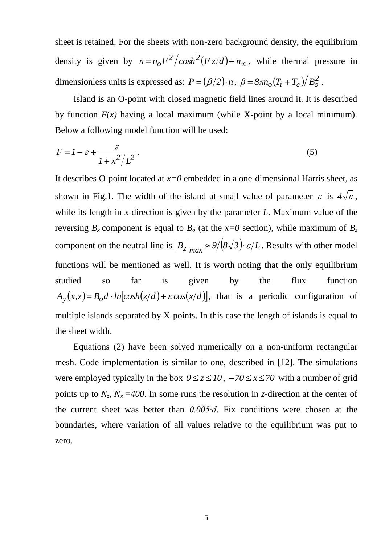sheet is retained. For the sheets with non-zero background density, the equilibrium density is given by  $n = n_o F^2 / \cosh^2 (F z/d) + n_\infty$  $\int_{0}^{z} \frac{f^{2}}{f^{2}} f(x) dx + n_{\infty}$ , while thermal pressure in dimensionless units is expressed as:  $P = (\beta/2) \cdot n$ ,  $\beta = 8\pi n_o (T_i + T_e)/B_o^2$ .

Island is an O-point with closed magnetic field lines around it. It is described by function  $F(x)$  having a local maximum (while X-point by a local minimum). Below a following model function will be used:

$$
F = I - \varepsilon + \frac{\varepsilon}{1 + x^2 / L^2}.
$$
\n(5)

It describes O-point located at *x=0* embedded in a one-dimensional Harris sheet, as shown in Fig.1. The width of the island at small value of parameter  $\varepsilon$  is  $4\sqrt{\varepsilon}$ , while its length in *x*-direction is given by the parameter *L*. Maximum value of the reversing  $B_x$  component is equal to  $B_0$  (at the  $x=0$  section), while maximum of  $B_z$ component on the neutral line is  $|B_z|_{max} \approx 9/(8\sqrt{3}) \cdot \varepsilon/L$ . Results with other model functions will be mentioned as well. It is worth noting that the only equilibrium studied so far is given by the flux function  $A_y(x, z) = B_o d \cdot ln[cosh(z/d) + \varepsilon cos(x/d)]$ , that is a periodic configuration of multiple islands separated by X-points. In this case the length of islands is equal to the sheet width.

Equations (2) have been solved numerically on a non-uniform rectangular mesh. Code implementation is similar to one, described in [12]. The simulations were employed typically in the box  $0 \le z \le 10$ ,  $-70 \le x \le 70$  with a number of grid points up to  $N_z$ ,  $N_x = 400$ . In some runs the resolution in *z*-direction at the center of the current sheet was better than *0.005∙d*. Fix conditions were chosen at the boundaries, where variation of all values relative to the equilibrium was put to zero.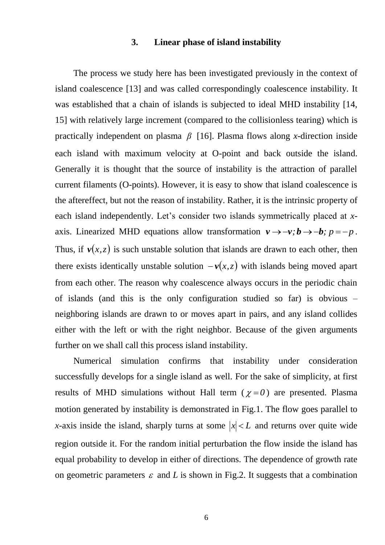#### **3. Linear phase of island instability**

The process we study here has been investigated previously in the context of island coalescence [13] and was called correspondingly coalescence instability. It was established that a chain of islands is subjected to ideal MHD instability [14, 15] with relatively large increment (compared to the collisionless tearing) which is practically independent on plasma  $\beta$  [16]. Plasma flows along *x*-direction inside each island with maximum velocity at O-point and back outside the island. Generally it is thought that the source of instability is the attraction of parallel current filaments (O-points). However, it is easy to show that island coalescence is the aftereffect, but not the reason of instability. Rather, it is the intrinsic property of each island independently. Let's consider two islands symmetrically placed at *x*axis. Linearized MHD equations allow transformation  $v \rightarrow -v$ ;  $b \rightarrow -b$ ;  $p = -p$ . Thus, if  $v(x, z)$  is such unstable solution that islands are drawn to each other, then there exists identically unstable solution  $-v(x, z)$  with islands being moved apart from each other. The reason why coalescence always occurs in the periodic chain of islands (and this is the only configuration studied so far) is obvious – neighboring islands are drawn to or moves apart in pairs, and any island collides either with the left or with the right neighbor. Because of the given arguments further on we shall call this process island instability.

Numerical simulation confirms that instability under consideration successfully develops for a single island as well. For the sake of simplicity, at first results of MHD simulations without Hall term  $(\chi = 0)$  are presented. Plasma motion generated by instability is demonstrated in Fig.1. The flow goes parallel to *x*-axis inside the island, sharply turns at some  $|x| < L$  and returns over quite wide region outside it. For the random initial perturbation the flow inside the island has equal probability to develop in either of directions. The dependence of growth rate on geometric parameters  $\varepsilon$  and  $L$  is shown in Fig.2. It suggests that a combination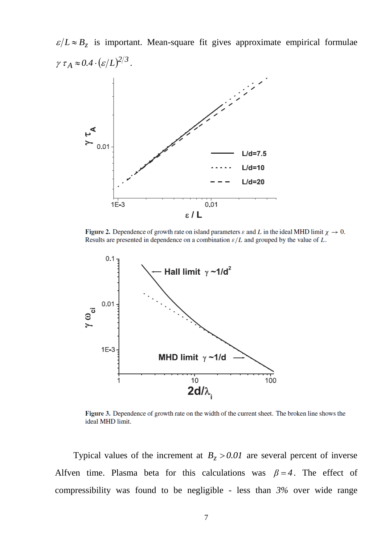$\epsilon/L \approx B_z$  is important. Mean-square fit gives approximate empirical formulae  $\gamma \tau_A \approx 0.4 \cdot (\varepsilon/L)^{2/3}.$ 



Figure 2. Dependence of growth rate on island parameters  $\varepsilon$  and L in the ideal MHD limit  $\chi \to 0$ . Results are presented in dependence on a combination  $\varepsilon/L$  and grouped by the value of L.



Figure 3. Dependence of growth rate on the width of the current sheet. The broken line shows the ideal MHD limit.

Typical values of the increment at  $B_z > 0.01$  are several percent of inverse Alfven time. Plasma beta for this calculations was  $\beta = 4$ . The effect of compressibility was found to be negligible - less than *3%* over wide range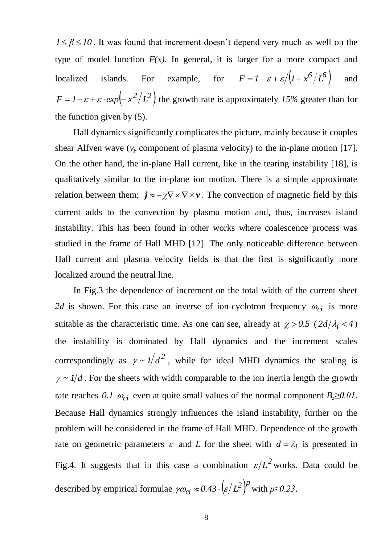$1 \leq \beta \leq 10$ . It was found that increment doesn't depend very much as well on the type of model function  $F(x)$ . In general, it is larger for a more compact and localized islands. For example, for  $F = 1 - \varepsilon + \varepsilon / (1 + x^6 / L^6)$ and  $F = 1 - \varepsilon + \varepsilon \cdot exp(-x^2/L^2)$  the growth rate is approximately 15% greater than for the function given by (5).

Hall dynamics significantly complicates the picture, mainly because it couples shear Alfven wave  $(v_y$  component of plasma velocity) to the in-plane motion [17]. On the other hand, the in-plane Hall current, like in the tearing instability [18], is qualitatively similar to the in-plane ion motion. There is a simple approximate relation between them:  $\mathbf{j} \approx -\chi \nabla \times \nabla \times \mathbf{v}$ . The convection of magnetic field by this current adds to the convection by plasma motion and, thus, increases island instability. This has been found in other works where coalescence process was studied in the frame of Hall MHD [12]. The only noticeable difference between Hall current and plasma velocity fields is that the first is significantly more localized around the neutral line.

In Fig.3 the dependence of increment on the total width of the current sheet 2*d* is shown. For this case an inverse of ion-cyclotron frequency  $\omega_{ci}$  is more suitable as the characteristic time. As one can see, already at  $\chi > 0.5$  ( $2d/\lambda_i < 4$ ) the instability is dominated by Hall dynamics and the increment scales correspondingly as  $\gamma \sim 1/d^2$ , while for ideal MHD dynamics the scaling is  $\gamma \sim 1/d$ . For the sheets with width comparable to the ion inertia length the growth rate reaches  $0.1 \cdot \omega_{ci}$  even at quite small values of the normal component  $B_z \ge 0.01$ . Because Hall dynamics strongly influences the island instability, further on the problem will be considered in the frame of Hall MHD. Dependence of the growth rate on geometric parameters  $\varepsilon$  and *L* for the sheet with  $d = \lambda_i$  is presented in Fig.4. It suggests that in this case a combination  $\varepsilon/L^2$  works. Data could be described by empirical formulae  $\gamma \omega_{ci} \approx 0.43 \cdot \left(\frac{\varepsilon}{L^2}\right)^{\beta}$  $\gamma \omega_{ci} \approx 0.43 \cdot \left(\frac{\varepsilon}{L^2}\right)^p$  with  $p \approx 0.23$ .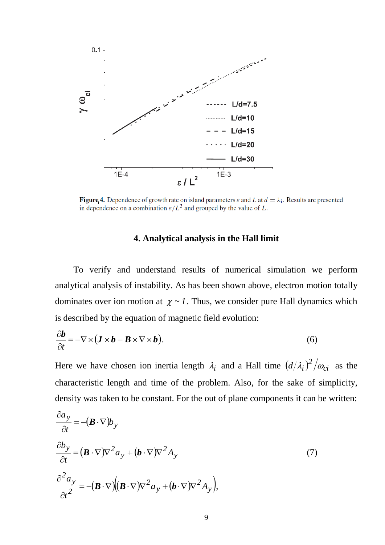

**Figure 4.** Dependence of growth rate on island parameters  $\varepsilon$  and L at  $d = \lambda_i$ . Results are presented in dependence on a combination  $\varepsilon/L^2$  and grouped by the value of L.

# **4. Analytical analysis in the Hall limit**

To verify and understand results of numerical simulation we perform analytical analysis of instability. As has been shown above, electron motion totally dominates over ion motion at  $\chi \sim 1$ . Thus, we consider pure Hall dynamics which is described by the equation of magnetic field evolution:

$$
\frac{\partial \boldsymbol{b}}{\partial t} = -\nabla \times (\boldsymbol{J} \times \boldsymbol{b} - \boldsymbol{B} \times \nabla \times \boldsymbol{b}).
$$
\n(6)

Here we have chosen ion inertia length  $\lambda_i$  and a Hall time  $(d/\lambda_i)^2/\omega_{ci}$  as the characteristic length and time of the problem. Also, for the sake of simplicity, density was taken to be constant. For the out of plane components it can be written:

$$
\frac{\partial a_y}{\partial t} = -(\boldsymbol{B} \cdot \nabla) b_y
$$
  
\n
$$
\frac{\partial b_y}{\partial t} = (\boldsymbol{B} \cdot \nabla) \nabla^2 a_y + (\boldsymbol{b} \cdot \nabla) \nabla^2 A_y
$$
  
\n
$$
\frac{\partial^2 a_y}{\partial t^2} = -(\boldsymbol{B} \cdot \nabla) ((\boldsymbol{B} \cdot \nabla) \nabla^2 a_y + (\boldsymbol{b} \cdot \nabla) \nabla^2 A_y),
$$
\n(7)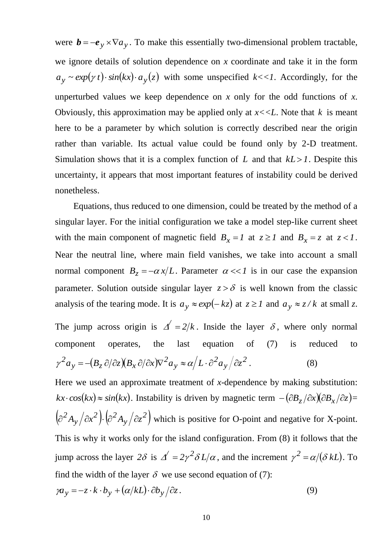were  $\mathbf{b} = -\mathbf{e}_y \times \nabla a_y$ . To make this essentially two-dimensional problem tractable, we ignore details of solution dependence on *x* coordinate and take it in the form  $a_y \sim exp(y t) \cdot sin(kx) \cdot a_y(z)$  with some unspecified  $k \ll 1$ . Accordingly, for the unperturbed values we keep dependence on  $x$  only for the odd functions of  $x$ . Obviously, this approximation may be applied only at  $x \ll L$ . Note that  $k$  is meant here to be a parameter by which solution is correctly described near the origin rather than variable. Its actual value could be found only by 2-D treatment. Simulation shows that it is a complex function of  $L$  and that  $kL > 1$ . Despite this uncertainty, it appears that most important features of instability could be derived nonetheless.

Equations, thus reduced to one dimension, could be treated by the method of a singular layer. For the initial configuration we take a model step-like current sheet with the main component of magnetic field  $B_x = I$  at  $z \ge 1$  and  $B_x = z$  at  $z < 1$ . Near the neutral line, where main field vanishes, we take into account a small normal component  $B_z = -\alpha x/L$ . Parameter  $\alpha \ll 1$  is in our case the expansion parameter. Solution outside singular layer  $z > \delta$  is well known from the classic analysis of the tearing mode. It is  $a_y \approx exp(-kz)$  at  $z \ge 1$  and  $a_y \approx z/k$  at small *z*. The jump across origin is  $\Delta' = 2/k$ . Inside the layer  $\delta$ , where only normal component operates, the last equation of (7) is reduced to  $(B_z \partial/\partial z)(B_x \partial/\partial x)\nabla^2 a_y \approx \alpha/L \cdot \partial^2 a_y/\partial z^2$ *y 2 y 2*  $y = -(B_z C/Cz)(B_x)$  $\gamma^2 a_v = -(B_z \partial/\partial z)(B_x \partial/\partial x)\nabla^2 a_v \approx \alpha/L \cdot \partial^2 a_v / \partial z^2$ . (8)

Here we used an approximate treatment of *x*-dependence by making substitution:  $kx \cdot cos(kx) \approx sin(kx)$ . Instability is driven by magnetic term  $-(\partial B_z/\partial x)(\partial B_x/\partial z) =$  $\left(\partial^2 A_{\rm v}/\partial x^2\right)$ .  $\left(\partial^2 A_{\rm v}/\partial z^2\right)$ . *y 2 2 y*  $\partial^2 A_{\rm v}/\partial x^2$ .  $\left(\partial^2 A_{\rm v}/\partial z^2\right)$  which is positive for O-point and negative for X-point. This is why it works only for the island configuration. From (8) it follows that the jump across the layer 28 is  $\Delta' = 2\gamma^2 \delta L/\alpha$ , and the increment  $\gamma^2 = \alpha/(\delta kL)$ . To find the width of the layer  $\delta$  we use second equation of (7):

$$
\gamma a_y = -z \cdot k \cdot b_y + (\alpha/kL) \cdot \partial b_y / \partial z. \tag{9}
$$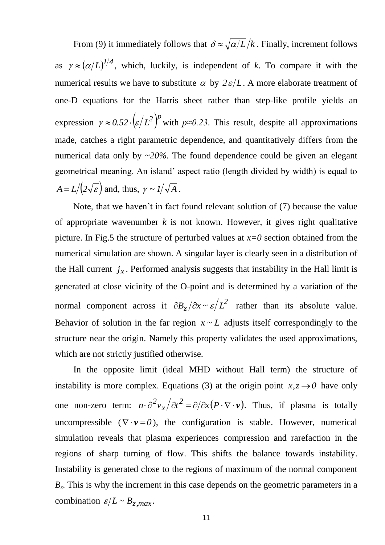From (9) it immediately follows that  $\delta \approx \sqrt{\alpha/L/k}$ . Finally, increment follows as  $\gamma \approx (\alpha/L)^{1/4}$ , which, luckily, is independent of *k*. To compare it with the numerical results we have to substitute  $\alpha$  by  $2\varepsilon/L$ . A more elaborate treatment of one-D equations for the Harris sheet rather than step-like profile yields an expression  $\gamma \approx 0.52 \cdot \left(\frac{\varepsilon}{L^2}\right)^{1/2}$  $\gamma \approx 0.52 \cdot (\varepsilon/L^2)^p$  with  $p \approx 0.23$ . This result, despite all approximations made, catches a right parametric dependence, and quantitatively differs from the numerical data only by ~*20%*. The found dependence could be given an elegant geometrical meaning. An island' aspect ratio (length divided by width) is equal to  $A = L/(2\sqrt{\varepsilon})$  and, thus,  $\gamma \sim 1/\sqrt{A}$  .

Note, that we haven't in fact found relevant solution of (7) because the value of appropriate wavenumber *k* is not known. However, it gives right qualitative picture. In Fig.5 the structure of perturbed values at  $x=0$  section obtained from the numerical simulation are shown. A singular layer is clearly seen in a distribution of the Hall current  $j_x$ . Performed analysis suggests that instability in the Hall limit is generated at close vicinity of the O-point and is determined by a variation of the normal component across it  $\partial B_z / \partial x \sim \varepsilon / L^2$  rather than its absolute value. Behavior of solution in the far region  $x \sim L$  adjusts itself correspondingly to the structure near the origin. Namely this property validates the used approximations, which are not strictly justified otherwise.

In the opposite limit (ideal MHD without Hall term) the structure of instability is more complex. Equations (3) at the origin point  $x, z \rightarrow 0$  have only one non-zero term:  $n \cdot \partial^2 v_x / \partial t^2 = \partial / \partial x (P \cdot \nabla \cdot \mathbf{v})$ *x*  $2v_x/\partial t^2 = \partial/\partial x(P \cdot \nabla \cdot v)$ . Thus, if plasma is totally uncompressible  $(\nabla \cdot \mathbf{v} = 0)$ , the configuration is stable. However, numerical simulation reveals that plasma experiences compression and rarefaction in the regions of sharp turning of flow. This shifts the balance towards instability. Instability is generated close to the regions of maximum of the normal component  $B<sub>z</sub>$ . This is why the increment in this case depends on the geometric parameters in a combination  $\varepsilon/L \sim B_{z,max}$ .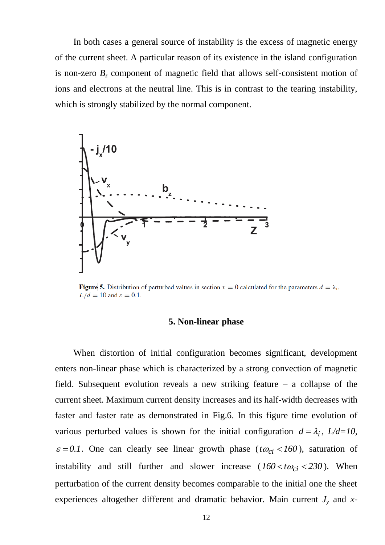In both cases a general source of instability is the excess of magnetic energy of the current sheet. A particular reason of its existence in the island configuration is non-zero  $B<sub>z</sub>$  component of magnetic field that allows self-consistent motion of ions and electrons at the neutral line. This is in contrast to the tearing instability, which is strongly stabilized by the normal component.



**Figure** 5. Distribution of perturbed values in section  $x = 0$  calculated for the parameters  $d = \lambda_i$ ,  $L/d = 10$  and  $\varepsilon = 0.1$ .

#### **5. Non-linear phase**

When distortion of initial configuration becomes significant, development enters non-linear phase which is characterized by a strong convection of magnetic field. Subsequent evolution reveals a new striking feature – a collapse of the current sheet. Maximum current density increases and its half-width decreases with faster and faster rate as demonstrated in Fig.6. In this figure time evolution of various perturbed values is shown for the initial configuration  $d = \lambda_i$ ,  $L/d = 10$ ,  $\varepsilon = 0.1$ . One can clearly see linear growth phase ( $t\omega_{ci} < 160$ ), saturation of instability and still further and slower increase  $(160 < t\omega_{ci} < 230)$ . When perturbation of the current density becomes comparable to the initial one the sheet experiences altogether different and dramatic behavior. Main current *J<sup>y</sup>* and *x*-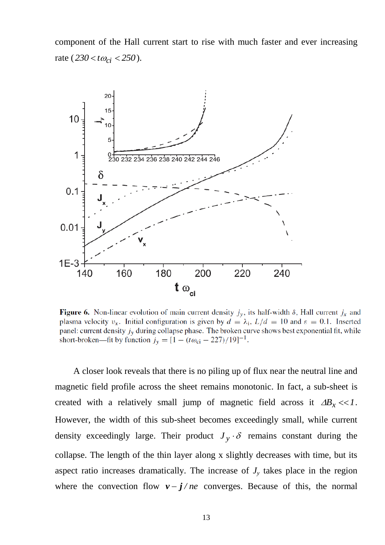component of the Hall current start to rise with much faster and ever increasing rate  $(230 < t \omega_{ci} < 250)$ .



Figure 6. Non-linear evolution of main current density  $j_y$ , its half-width  $\delta$ , Hall current  $j_x$  and plasma velocity  $v_x$ . Initial configuration is given by  $d = \lambda_i$ ,  $L/d = 10$  and  $\varepsilon = 0.1$ . Inserted panel: current density  $j_y$  during collapse phase. The broken curve shows best exponential fit, while short-broken—fit by function  $j_y = [1 - (t\omega_{ci} - 227)/19]^{-1}$ .

A closer look reveals that there is no piling up of flux near the neutral line and magnetic field profile across the sheet remains monotonic. In fact, a sub-sheet is created with a relatively small jump of magnetic field across it  $\Delta B_x \ll 1$ . However, the width of this sub-sheet becomes exceedingly small, while current density exceedingly large. Their product  $J_y \cdot \delta$  remains constant during the collapse. The length of the thin layer along x slightly decreases with time, but its aspect ratio increases dramatically. The increase of  $J<sub>y</sub>$  takes place in the region where the convection flow  $v - j$  *ne* converges. Because of this, the normal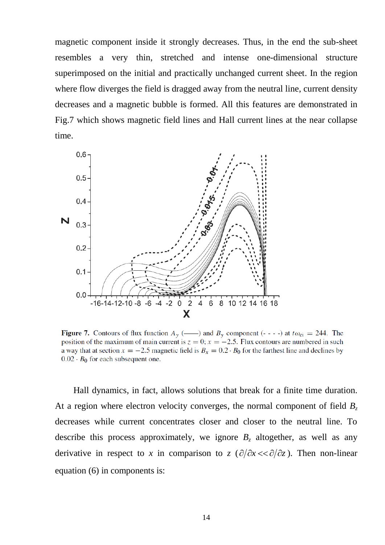magnetic component inside it strongly decreases. Thus, in the end the sub-sheet resembles a very thin, stretched and intense one-dimensional structure superimposed on the initial and practically unchanged current sheet. In the region where flow diverges the field is dragged away from the neutral line, current density decreases and a magnetic bubble is formed. All this features are demonstrated in Fig.7 which shows magnetic field lines and Hall current lines at the near collapse time.



**Figure 7.** Contours of flux function  $A_v$  (--) and  $B_v$  component (----) at  $t\omega_{ci} = 244$ . The position of the maximum of main current is  $z = 0$ ;  $x = -2.5$ . Flux contours are numbered in such a way that at section  $x = -2.5$  magnetic field is  $B_x = 0.2 \cdot B_0$  for the farthest line and declines by  $0.02 \cdot B_0$  for each subsequent one.

Hall dynamics, in fact, allows solutions that break for a finite time duration. At a region where electron velocity converges, the normal component of field *B<sup>z</sup>* decreases while current concentrates closer and closer to the neutral line. To describe this process approximately, we ignore  $B_z$  altogether, as well as any derivative in respect to *x* in comparison to *z* ( $\partial/\partial x \ll \partial/\partial z$ ). Then non-linear equation (6) in components is: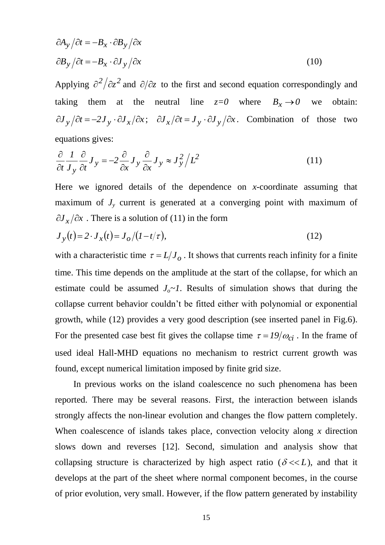$$
\partial A_{y} / \partial t = -B_{x} \cdot \partial B_{y} / \partial x
$$
  

$$
\partial B_{y} / \partial t = -B_{x} \cdot \partial J_{y} / \partial x
$$
 (10)

Applying  $\partial^2/\partial z^2$  and  $\partial/\partial z$  to the first and second equation correspondingly and taking them at the neutral line  $z=0$  where  $B_x \rightarrow 0$  we obtain:  $\partial J_y / \partial t = -2J_y \cdot \partial J_x / \partial x; \quad \partial J_x / \partial t = J_y \cdot \partial J_y / \partial x.$  Combination of those two equations gives:

$$
\frac{\partial}{\partial t} \frac{1}{J_y} \frac{\partial}{\partial t} J_y = -2 \frac{\partial}{\partial x} J_y \frac{\partial}{\partial x} J_y \approx J_y^2 / L^2
$$
\n(11)

Here we ignored details of the dependence on *x*-coordinate assuming that maximum of  $J<sub>y</sub>$  current is generated at a converging point with maximum of  $\partial J_x/\partial x$ . There is a solution of (11) in the form

$$
J_{y}(t) = 2 \cdot J_{x}(t) = J_{o}/(1 - t/\tau),
$$
\n(12)

 $\partial A_y / \partial t = -B_x \cdot \partial B_y / \partial x$ <br>  $\partial B_y / \partial t = -B_x \cdot \partial J_y / \partial x$ <br>
Applying  $\partial^2 / \partial z^2$  and  $\partial / \partial z$  to the first and<br>
alsing them at the neutral line<br>  $\partial J_y / \partial t = -2J_y \cdot \partial J_x / \partial x$ ;  $\partial J_x / \partial t = J_y \cdot \partial$ <br>
equations gives:<br>  $\frac{\partial}{\partial t} J_y \frac{\partial}{\partial$ with a characteristic time  $\tau = L/J_o$ . It shows that currents reach infinity for a finite time. This time depends on the amplitude at the start of the collapse, for which an estimate could be assumed  $J<sub>o</sub> \sim 1$ . Results of simulation shows that during the collapse current behavior couldn't be fitted either with polynomial or exponential growth, while (12) provides a very good description (see inserted panel in Fig.6). For the presented case best fit gives the collapse time  $\tau = 19/\omega_{ci}$ . In the frame of used ideal Hall-MHD equations no mechanism to restrict current growth was found, except numerical limitation imposed by finite grid size.

In previous works on the island coalescence no such phenomena has been reported. There may be several reasons. First, the interaction between islands strongly affects the non-linear evolution and changes the flow pattern completely. When coalescence of islands takes place, convection velocity along *x* direction slows down and reverses [12]. Second, simulation and analysis show that collapsing structure is characterized by high aspect ratio ( $\delta \ll L$ ), and that it develops at the part of the sheet where normal component becomes, in the course of prior evolution, very small. However, if the flow pattern generated by instability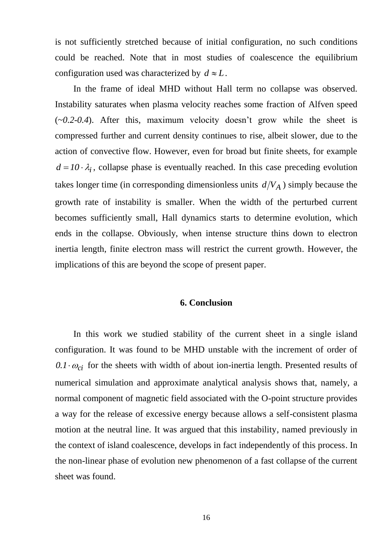is not sufficiently stretched because of initial configuration, no such conditions could be reached. Note that in most studies of coalescence the equilibrium configuration used was characterized by  $d \approx L$ .

In the frame of ideal MHD without Hall term no collapse was observed. Instability saturates when plasma velocity reaches some fraction of Alfven speed (~*0.2-0.4*). After this, maximum velocity doesn't grow while the sheet is compressed further and current density continues to rise, albeit slower, due to the action of convective flow. However, even for broad but finite sheets, for example  $d = 10 \cdot \lambda_i$ , collapse phase is eventually reached. In this case preceding evolution takes longer time (in corresponding dimensionless units  $d/V_A$ ) simply because the growth rate of instability is smaller. When the width of the perturbed current becomes sufficiently small, Hall dynamics starts to determine evolution, which ends in the collapse. Obviously, when intense structure thins down to electron inertia length, finite electron mass will restrict the current growth. However, the implications of this are beyond the scope of present paper.

## **6. Conclusion**

In this work we studied stability of the current sheet in a single island configuration. It was found to be MHD unstable with the increment of order of  $0.1 \cdot \omega_{ci}$  for the sheets with width of about ion-inertia length. Presented results of numerical simulation and approximate analytical analysis shows that, namely, a normal component of magnetic field associated with the O-point structure provides a way for the release of excessive energy because allows a self-consistent plasma motion at the neutral line. It was argued that this instability, named previously in the context of island coalescence, develops in fact independently of this process. In the non-linear phase of evolution new phenomenon of a fast collapse of the current sheet was found.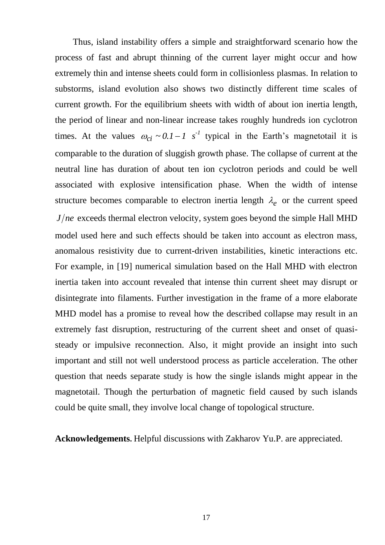Thus, island instability offers a simple and straightforward scenario how the process of fast and abrupt thinning of the current layer might occur and how extremely thin and intense sheets could form in collisionless plasmas. In relation to substorms, island evolution also shows two distinctly different time scales of current growth. For the equilibrium sheets with width of about ion inertia length, the period of linear and non-linear increase takes roughly hundreds ion cyclotron times. At the values  $\omega_{ci} \sim 0.1 - 1$  s<sup>-1</sup> typical in the Earth's magnetotail it is comparable to the duration of sluggish growth phase. The collapse of current at the neutral line has duration of about ten ion cyclotron periods and could be well associated with explosive intensification phase. When the width of intense structure becomes comparable to electron inertia length  $\lambda_e$  or the current speed *J/ne* exceeds thermal electron velocity, system goes beyond the simple Hall MHD model used here and such effects should be taken into account as electron mass, anomalous resistivity due to current-driven instabilities, kinetic interactions etc. For example, in [19] numerical simulation based on the Hall MHD with electron inertia taken into account revealed that intense thin current sheet may disrupt or disintegrate into filaments. Further investigation in the frame of a more elaborate MHD model has a promise to reveal how the described collapse may result in an extremely fast disruption, restructuring of the current sheet and onset of quasisteady or impulsive reconnection. Also, it might provide an insight into such important and still not well understood process as particle acceleration. The other question that needs separate study is how the single islands might appear in the magnetotail. Though the perturbation of magnetic field caused by such islands could be quite small, they involve local change of topological structure.

**Acknowledgements.** Helpful discussions with Zakharov Yu.P. are appreciated.